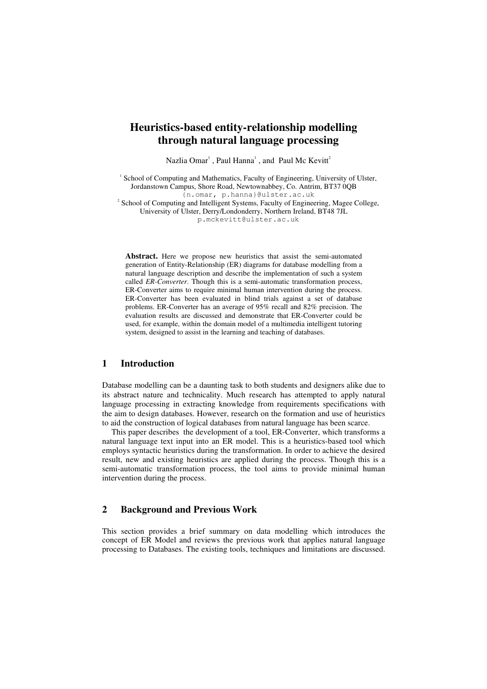# **Heuristics-based entity-relationship modelling through natural language processing**

Nazlia Omar<sup>1</sup>, Paul Hanna<sup>1</sup>, and Paul Mc Kevitt<sup>2</sup>

<sup>1</sup> School of Computing and Mathematics, Faculty of Engineering, University of Ulster, Jordanstown Campus, Shore Road, Newtownabbey, Co. Antrim, BT37 0QB {n.omar, p.hanna}@ulster.ac.uk

<sup>2</sup> School of Computing and Intelligent Systems, Faculty of Engineering, Magee College, University of Ulster, Derry/Londonderry, Northern Ireland, BT48 7JL

p.mckevitt@ulster.ac.uk

**Abstract.** Here we propose new heuristics that assist the semi-automated generation of Entity-Relationship (ER) diagrams for database modelling from a natural language description and describe the implementation of such a system called *ER-Converter*. Though this is a semi-automatic transformation process, ER-Converter aims to require minimal human intervention during the process. ER-Converter has been evaluated in blind trials against a set of database problems. ER-Converter has an average of 95% recall and 82% precision. The evaluation results are discussed and demonstrate that ER-Converter could be used, for example, within the domain model of a multimedia intelligent tutoring system, designed to assist in the learning and teaching of databases.

## **1 Introduction**

Database modelling can be a daunting task to both students and designers alike due to its abstract nature and technicality. Much research has attempted to apply natural language processing in extracting knowledge from requirements specifications with the aim to design databases. However, research on the formation and use of heuristics to aid the construction of logical databases from natural language has been scarce.

This paper describes the development of a tool, ER-Converter, which transforms a natural language text input into an ER model. This is a heuristics-based tool which employs syntactic heuristics during the transformation. In order to achieve the desired result, new and existing heuristics are applied during the process. Though this is a semi-automatic transformation process, the tool aims to provide minimal human intervention during the process.

## **2 Background and Previous Work**

This section provides a brief summary on data modelling which introduces the concept of ER Model and reviews the previous work that applies natural language processing to Databases. The existing tools, techniques and limitations are discussed.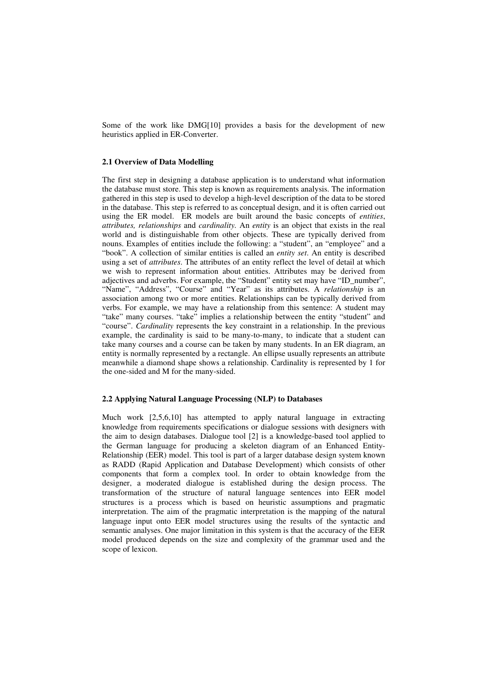Some of the work like DMG[10] provides a basis for the development of new heuristics applied in ER-Converter.

## **2.1 Overview of Data Modelling**

The first step in designing a database application is to understand what information the database must store. This step is known as requirements analysis. The information gathered in this step is used to develop a high-level description of the data to be stored in the database. This step is referred to as conceptual design, and it is often carried out using the ER model. ER models are built around the basic concepts of *entities*, *attributes, relationships* and *cardinality.* An *entity* is an object that exists in the real world and is distinguishable from other objects. These are typically derived from nouns. Examples of entities include the following: a "student", an "employee" and a "book". A collection of similar entities is called an *entity set*. An entity is described using a set of *attributes*. The attributes of an entity reflect the level of detail at which we wish to represent information about entities. Attributes may be derived from adjectives and adverbs. For example, the "Student" entity set may have "ID\_number", "Name", "Address", "Course" and "Year" as its attributes. A *relationship* is an association among two or more entities. Relationships can be typically derived from verbs. For example, we may have a relationship from this sentence: A student may "take" many courses. "take" implies a relationship between the entity "student" and "course". *Cardinality* represents the key constraint in a relationship. In the previous example, the cardinality is said to be many-to-many, to indicate that a student can take many courses and a course can be taken by many students. In an ER diagram, an entity is normally represented by a rectangle. An ellipse usually represents an attribute meanwhile a diamond shape shows a relationship. Cardinality is represented by 1 for the one-sided and M for the many-sided.

### **2.2 Applying Natural Language Processing (NLP) to Databases**

Much work [2,5,6,10] has attempted to apply natural language in extracting knowledge from requirements specifications or dialogue sessions with designers with the aim to design databases. Dialogue tool [2] is a knowledge-based tool applied to the German language for producing a skeleton diagram of an Enhanced Entity-Relationship (EER) model. This tool is part of a larger database design system known as RADD (Rapid Application and Database Development) which consists of other components that form a complex tool. In order to obtain knowledge from the designer, a moderated dialogue is established during the design process. The transformation of the structure of natural language sentences into EER model structures is a process which is based on heuristic assumptions and pragmatic interpretation. The aim of the pragmatic interpretation is the mapping of the natural language input onto EER model structures using the results of the syntactic and semantic analyses. One major limitation in this system is that the accuracy of the EER model produced depends on the size and complexity of the grammar used and the scope of lexicon.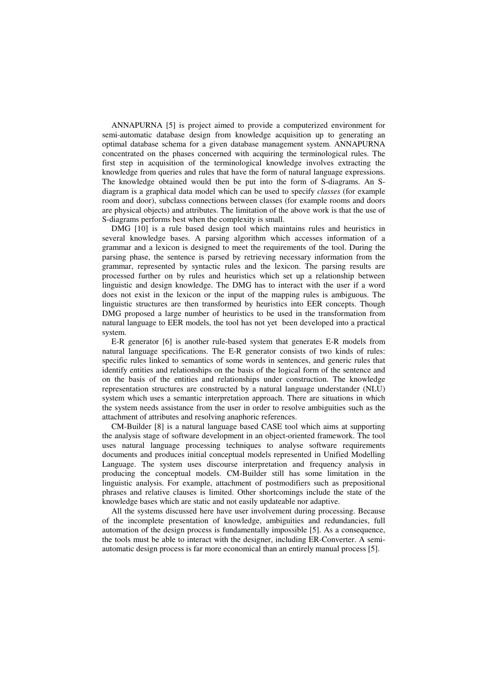ANNAPURNA [5] is project aimed to provide a computerized environment for semi-automatic database design from knowledge acquisition up to generating an optimal database schema for a given database management system. ANNAPURNA concentrated on the phases concerned with acquiring the terminological rules. The first step in acquisition of the terminological knowledge involves extracting the knowledge from queries and rules that have the form of natural language expressions. The knowledge obtained would then be put into the form of S-diagrams. An Sdiagram is a graphical data model which can be used to specify *classes* (for example room and door), subclass connections between classes (for example rooms and doors are physical objects) and attributes. The limitation of the above work is that the use of S-diagrams performs best when the complexity is small.

DMG [10] is a rule based design tool which maintains rules and heuristics in several knowledge bases. A parsing algorithm which accesses information of a grammar and a lexicon is designed to meet the requirements of the tool. During the parsing phase, the sentence is parsed by retrieving necessary information from the grammar, represented by syntactic rules and the lexicon. The parsing results are processed further on by rules and heuristics which set up a relationship between linguistic and design knowledge. The DMG has to interact with the user if a word does not exist in the lexicon or the input of the mapping rules is ambiguous. The linguistic structures are then transformed by heuristics into EER concepts. Though DMG proposed a large number of heuristics to be used in the transformation from natural language to EER models, the tool has not yet been developed into a practical system.

E-R generator [6] is another rule-based system that generates E-R models from natural language specifications. The E-R generator consists of two kinds of rules: specific rules linked to semantics of some words in sentences, and generic rules that identify entities and relationships on the basis of the logical form of the sentence and on the basis of the entities and relationships under construction. The knowledge representation structures are constructed by a natural language understander (NLU) system which uses a semantic interpretation approach. There are situations in which the system needs assistance from the user in order to resolve ambiguities such as the attachment of attributes and resolving anaphoric references.

CM-Builder [8] is a natural language based CASE tool which aims at supporting the analysis stage of software development in an object-oriented framework. The tool uses natural language processing techniques to analyse software requirements documents and produces initial conceptual models represented in Unified Modelling Language. The system uses discourse interpretation and frequency analysis in producing the conceptual models. CM-Builder still has some limitation in the linguistic analysis. For example, attachment of postmodifiers such as prepositional phrases and relative clauses is limited. Other shortcomings include the state of the knowledge bases which are static and not easily updateable nor adaptive.

All the systems discussed here have user involvement during processing. Because of the incomplete presentation of knowledge, ambiguities and redundancies, full automation of the design process is fundamentally impossible [5]. As a consequence, the tools must be able to interact with the designer, including ER-Converter. A semiautomatic design process is far more economical than an entirely manual process [5].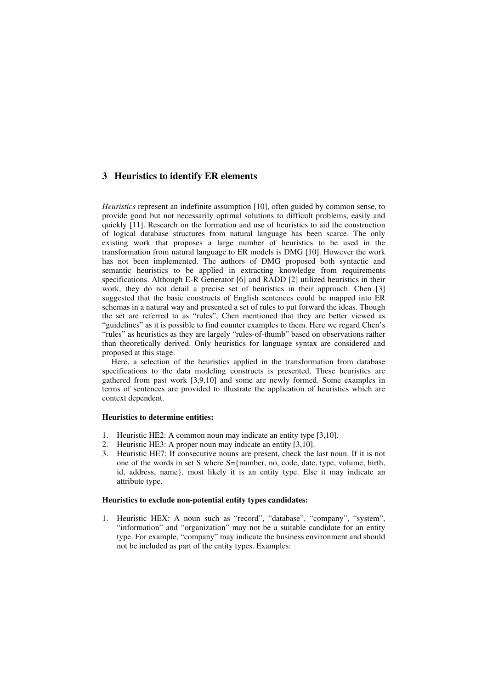## **3 Heuristics to identify ER elements**

*Heuristics* represent an indefinite assumption [10], often guided by common sense, to provide good but not necessarily optimal solutions to difficult problems, easily and quickly [11]. Research on the formation and use of heuristics to aid the construction of logical database structures from natural language has been scarce. The only existing work that proposes a large number of heuristics to be used in the transformation from natural language to ER models is DMG [10]. However the work has not been implemented. The authors of DMG proposed both syntactic and semantic heuristics to be applied in extracting knowledge from requirements specifications. Although E-R Generator [6] and RADD [2] utilized heuristics in their work, they do not detail a precise set of heuristics in their approach. Chen [3] suggested that the basic constructs of English sentences could be mapped into ER schemas in a natural way and presented a set of rules to put forward the ideas. Though the set are referred to as "rules", Chen mentioned that they are better viewed as "guidelines" as it is possible to find counter examples to them. Here we regard Chen's "rules" as heuristics as they are largely "rules-of-thumb" based on observations rather than theoretically derived. Only heuristics for language syntax are considered and proposed at this stage.

Here, a selection of the heuristics applied in the transformation from database specifications to the data modeling constructs is presented. These heuristics are gathered from past work [3,9,10] and some are newly formed. Some examples in terms of sentences are provided to illustrate the application of heuristics which are context dependent.

### **Heuristics to determine entities:**

- 1. Heuristic HE2: A common noun may indicate an entity type [3,10].
- 2. Heuristic HE3: A proper noun may indicate an entity [3,10].
- 3. Heuristic HE7: If consecutive nouns are present, check the last noun. If it is not one of the words in set S where S={number, no, code, date, type, volume, birth, id, address, name}, most likely it is an entity type. Else it may indicate an attribute type.

#### **Heuristics to exclude non-potential entity types candidates:**

1. Heuristic HEX: A noun such as "record", "database", "company", "system", "information" and "organization" may not be a suitable candidate for an entity type. For example, "company" may indicate the business environment and should not be included as part of the entity types. Examples: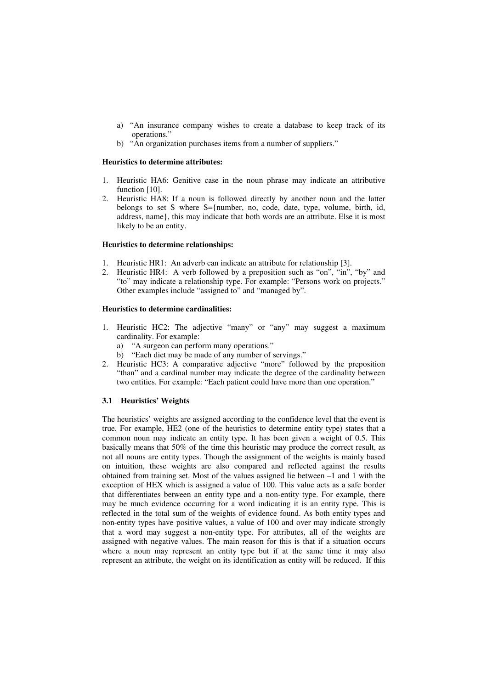- a) "An insurance company wishes to create a database to keep track of its operations."
- b) "An organization purchases items from a number of suppliers."

### **Heuristics to determine attributes:**

- 1. Heuristic HA6: Genitive case in the noun phrase may indicate an attributive function [10].
- 2. Heuristic HA8: If a noun is followed directly by another noun and the latter belongs to set S where S={number, no, code, date, type, volume, birth, id, address, name}, this may indicate that both words are an attribute. Else it is most likely to be an entity.

### **Heuristics to determine relationships:**

- 1. Heuristic HR1: An adverb can indicate an attribute for relationship [3].
- 2. Heuristic HR4: A verb followed by a preposition such as "on", "in", "by" and "to" may indicate a relationship type. For example: "Persons work on projects." Other examples include "assigned to" and "managed by".

## **Heuristics to determine cardinalities:**

- 1. Heuristic HC2: The adjective "many" or "any" may suggest a maximum cardinality. For example:
	- a) "A surgeon can perform many operations."
	- b) "Each diet may be made of any number of servings."
- 2. Heuristic HC3: A comparative adjective "more" followed by the preposition "than" and a cardinal number may indicate the degree of the cardinality between two entities. For example: "Each patient could have more than one operation."

## **3.1 Heuristics' Weights**

The heuristics' weights are assigned according to the confidence level that the event is true. For example, HE2 (one of the heuristics to determine entity type) states that a common noun may indicate an entity type. It has been given a weight of 0.5. This basically means that 50% of the time this heuristic may produce the correct result, as not all nouns are entity types. Though the assignment of the weights is mainly based on intuition, these weights are also compared and reflected against the results obtained from training set. Most of the values assigned lie between  $-1$  and 1 with the exception of HEX which is assigned a value of 100. This value acts as a safe border that differentiates between an entity type and a non-entity type. For example, there may be much evidence occurring for a word indicating it is an entity type. This is reflected in the total sum of the weights of evidence found. As both entity types and non-entity types have positive values, a value of 100 and over may indicate strongly that a word may suggest a non-entity type. For attributes, all of the weights are assigned with negative values. The main reason for this is that if a situation occurs where a noun may represent an entity type but if at the same time it may also represent an attribute, the weight on its identification as entity will be reduced. If this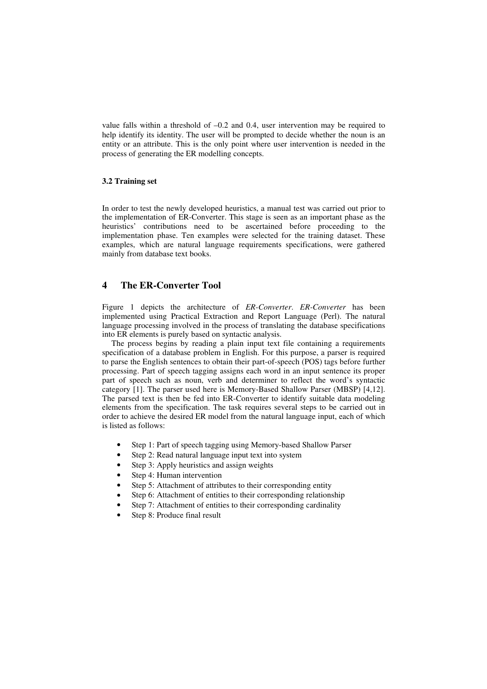value falls within a threshold of –0.2 and 0.4, user intervention may be required to help identify its identity. The user will be prompted to decide whether the noun is an entity or an attribute. This is the only point where user intervention is needed in the process of generating the ER modelling concepts.

#### **3.2 Training set**

In order to test the newly developed heuristics, a manual test was carried out prior to the implementation of ER-Converter. This stage is seen as an important phase as the heuristics' contributions need to be ascertained before proceeding to the implementation phase. Ten examples were selected for the training dataset. These examples, which are natural language requirements specifications, were gathered mainly from database text books.

## **4 The ER-Converter Tool**

Figure 1 depicts the architecture of *ER-Converter*. *ER-Converter* has been implemented using Practical Extraction and Report Language (Perl). The natural language processing involved in the process of translating the database specifications into ER elements is purely based on syntactic analysis.

The process begins by reading a plain input text file containing a requirements specification of a database problem in English. For this purpose, a parser is required to parse the English sentences to obtain their part-of-speech (POS) tags before further processing. Part of speech tagging assigns each word in an input sentence its proper part of speech such as noun, verb and determiner to reflect the word's syntactic category [1]. The parser used here is Memory-Based Shallow Parser (MBSP) [4,12]. The parsed text is then be fed into ER-Converter to identify suitable data modeling elements from the specification. The task requires several steps to be carried out in order to achieve the desired ER model from the natural language input, each of which is listed as follows:

- Step 1: Part of speech tagging using Memory-based Shallow Parser
- Step 2: Read natural language input text into system
- Step 3: Apply heuristics and assign weights
- Step 4: Human intervention
- Step 5: Attachment of attributes to their corresponding entity
- Step 6: Attachment of entities to their corresponding relationship
- Step 7: Attachment of entities to their corresponding cardinality
- Step 8: Produce final result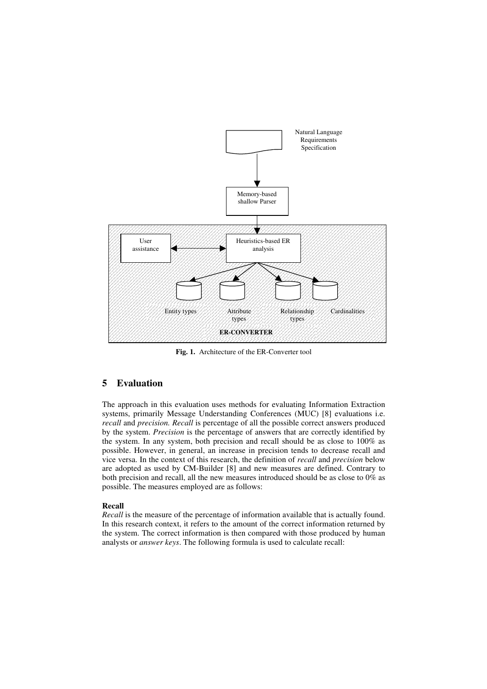

**Fig. 1.** Architecture of the ER-Converter tool

## **5 Evaluation**

The approach in this evaluation uses methods for evaluating Information Extraction systems, primarily Message Understanding Conferences (MUC) [8] evaluations i.e. *recall* and *precision. Recall* is percentage of all the possible correct answers produced by the system. *Precision* is the percentage of answers that are correctly identified by the system. In any system, both precision and recall should be as close to 100% as possible. However, in general, an increase in precision tends to decrease recall and vice versa. In the context of this research, the definition of *recall* and *precision* below are adopted as used by CM-Builder [8] and new measures are defined. Contrary to both precision and recall, all the new measures introduced should be as close to 0% as possible. The measures employed are as follows:

## **Recall**

*Recall* is the measure of the percentage of information available that is actually found. In this research context, it refers to the amount of the correct information returned by the system. The correct information is then compared with those produced by human analysts or *answer keys*. The following formula is used to calculate recall: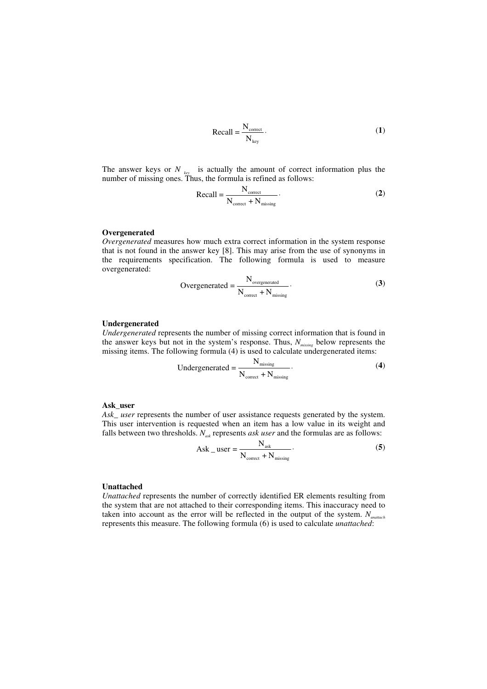$$
Recall = \frac{N_{\text{correct}}}{N_{\text{key}}}.
$$
 (1)

The answer keys or  $N_{key}$  is actually the amount of correct information plus the number of missing ones. Thus, the formula is refined as follows:

$$
Recall = \frac{N_{\text{correct}}}{N_{\text{correct}} + N_{\text{missing}}}
$$
 (2)

## **Overgenerated**

*Overgenerated* measures how much extra correct information in the system response that is not found in the answer key [8]. This may arise from the use of synonyms in the requirements specification. The following formula is used to measure overgenerated:

Overgenerated = 
$$
\frac{N_{\text{overgenerated}}}{N_{\text{correct}} + N_{\text{missing}}}
$$
 (3)

#### **Undergenerated**

*Undergenerated* represents the number of missing correct information that is found in the answer keys but not in the system's response. Thus, *Nmissing* below represents the missing items. The following formula (4) is used to calculate undergenerated items:

$$
Under generated = \frac{N_{missing}}{N_{correct} + N_{missing}}.
$$
\n(4)

#### **Ask\_user**

*Ask\_ user* represents the number of user assistance requests generated by the system. This user intervention is requested when an item has a low value in its weight and falls between two thresholds.  $N_{ask}$  represents *ask user* and the formulas are as follows:

$$
Ask\_user = \frac{N_{ask}}{N_{correct} + N_{missing}}.
$$
 (5)

## **Unattached**

*Unattached* represents the number of correctly identified ER elements resulting from the system that are not attached to their corresponding items. This inaccuracy need to taken into account as the error will be reflected in the output of the system. *Nunattach* represents this measure. The following formula (6) is used to calculate *unattached*: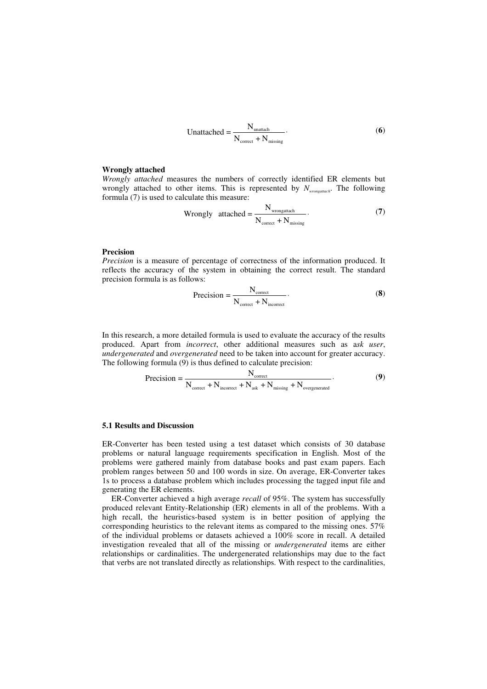Unattached = 
$$
\frac{N_{\text{unattach}}}{N_{\text{correct}} + N_{\text{missing}}}
$$
 (6)

#### **Wrongly attached**

*Wrongly attached* measures the numbers of correctly identified ER elements but wrongly attached to other items. This is represented by *Nwrongattach* . The following formula (7) is used to calculate this measure:

$$
Wrongly \quad \text{attached} = \frac{N_{\text{wrongattach}}}{N_{\text{correct}} + N_{\text{missing}}}. \tag{7}
$$

#### **Precision**

*Precision* is a measure of percentage of correctness of the information produced. It reflects the accuracy of the system in obtaining the correct result. The standard precision formula is as follows:

$$
Precision = \frac{N_{\text{correct}}}{N_{\text{correct}} + N_{\text{incorrect}}}
$$
 (8)

In this research, a more detailed formula is used to evaluate the accuracy of the results produced. Apart from *incorrect*, other additional measures such as a*sk user*, *undergenerated* and *overgenerated* need to be taken into account for greater accuracy. The following formula (9) is thus defined to calculate precision:

$$
Precision = \frac{N_{\text{correct}}}{N_{\text{correct}} + N_{\text{incorrect}} + N_{\text{ask}} + N_{\text{missing}} + N_{\text{overgenerated}}}.
$$
(9)

### **5.1 Results and Discussion**

ER-Converter has been tested using a test dataset which consists of 30 database problems or natural language requirements specification in English. Most of the problems were gathered mainly from database books and past exam papers. Each problem ranges between 50 and 100 words in size. On average, ER-Converter takes 1s to process a database problem which includes processing the tagged input file and generating the ER elements.

ER-Converter achieved a high average *recall* of 95%. The system has successfully produced relevant Entity-Relationship (ER) elements in all of the problems. With a high recall, the heuristics-based system is in better position of applying the corresponding heuristics to the relevant items as compared to the missing ones. 57% of the individual problems or datasets achieved a 100% score in recall. A detailed investigation revealed that all of the missing or *undergenerated* items are either relationships or cardinalities. The undergenerated relationships may due to the fact that verbs are not translated directly as relationships. With respect to the cardinalities,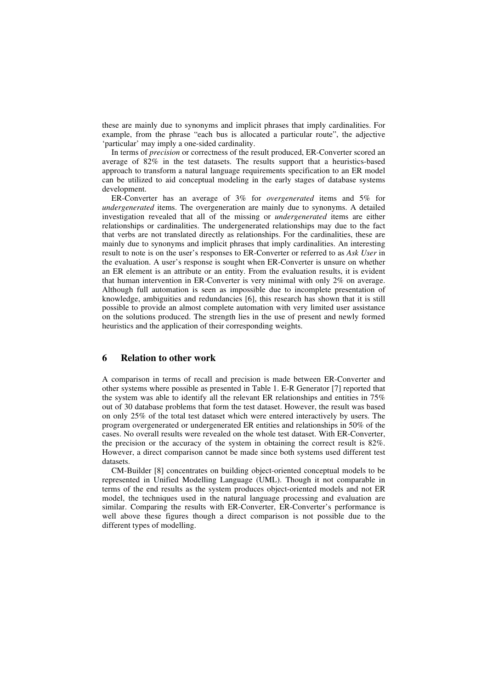these are mainly due to synonyms and implicit phrases that imply cardinalities. For example, from the phrase "each bus is allocated a particular route", the adjective 'particular' may imply a one-sided cardinality.

In terms of *precision* or correctness of the result produced, ER-Converter scored an average of 82% in the test datasets. The results support that a heuristics-based approach to transform a natural language requirements specification to an ER model can be utilized to aid conceptual modeling in the early stages of database systems development.

ER-Converter has an average of 3% for *overgenerated* items and 5% for *undergenerated* items. The overgeneration are mainly due to synonyms. A detailed investigation revealed that all of the missing or *undergenerated* items are either relationships or cardinalities. The undergenerated relationships may due to the fact that verbs are not translated directly as relationships. For the cardinalities, these are mainly due to synonyms and implicit phrases that imply cardinalities. An interesting result to note is on the user's responses to ER-Converter or referred to as *Ask User* in the evaluation. A user's response is sought when ER-Converter is unsure on whether an ER element is an attribute or an entity. From the evaluation results, it is evident that human intervention in ER-Converter is very minimal with only 2% on average. Although full automation is seen as impossible due to incomplete presentation of knowledge, ambiguities and redundancies [6], this research has shown that it is still possible to provide an almost complete automation with very limited user assistance on the solutions produced. The strength lies in the use of present and newly formed heuristics and the application of their corresponding weights.

## **6 Relation to other work**

A comparison in terms of recall and precision is made between ER-Converter and other systems where possible as presented in Table 1. E-R Generator [7] reported that the system was able to identify all the relevant ER relationships and entities in 75% out of 30 database problems that form the test dataset. However, the result was based on only 25% of the total test dataset which were entered interactively by users. The program overgenerated or undergenerated ER entities and relationships in 50% of the cases. No overall results were revealed on the whole test dataset. With ER-Converter, the precision or the accuracy of the system in obtaining the correct result is 82%. However, a direct comparison cannot be made since both systems used different test datasets.

CM-Builder [8] concentrates on building object-oriented conceptual models to be represented in Unified Modelling Language (UML). Though it not comparable in terms of the end results as the system produces object-oriented models and not ER model, the techniques used in the natural language processing and evaluation are similar. Comparing the results with ER-Converter, ER-Converter's performance is well above these figures though a direct comparison is not possible due to the different types of modelling.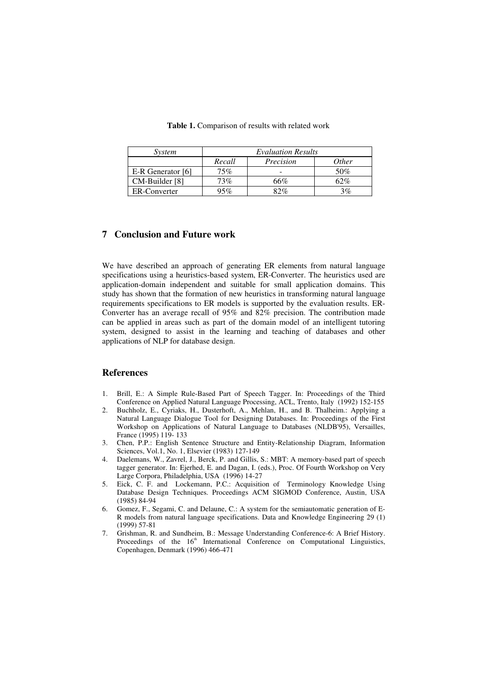| System            | <b>Evaluation Results</b> |           |       |
|-------------------|---------------------------|-----------|-------|
|                   | Recall                    | Precision | 0ther |
| E-R Generator [6] | 75%                       |           | 50%   |
| $CM$ -Builder [8] | 73%                       | 66%       | 62%   |
| ER-Converter      | )5%                       | 82%       | 3%    |

**Table 1.** Comparison of results with related work

## **7 Conclusion and Future work**

We have described an approach of generating ER elements from natural language specifications using a heuristics-based system, ER-Converter. The heuristics used are application-domain independent and suitable for small application domains. This study has shown that the formation of new heuristics in transforming natural language requirements specifications to ER models is supported by the evaluation results. ER-Converter has an average recall of 95% and 82% precision. The contribution made can be applied in areas such as part of the domain model of an intelligent tutoring system, designed to assist in the learning and teaching of databases and other applications of NLP for database design.

## **References**

- 1. Brill, E.: A Simple Rule-Based Part of Speech Tagger. In: Proceedings of the Third Conference on Applied Natural Language Processing, ACL, Trento, Italy (1992) 152-155
- 2. Buchholz, E., Cyriaks, H., Dusterhoft, A., Mehlan, H., and B. Thalheim.: Applying a Natural Language Dialogue Tool for Designing Databases. In: Proceedings of the First Workshop on Applications of Natural Language to Databases (NLDB'95), Versailles, France (1995) 119- 133
- 3. Chen, P.P.: English Sentence Structure and Entity-Relationship Diagram, Information Sciences, Vol.1, No. 1, Elsevier (1983) 127-149
- 4. Daelemans, W., Zavrel, J., Berck, P. and Gillis, S.: MBT: A memory-based part of speech tagger generator. In: Ejerhed, E. and Dagan, I. (eds.), Proc. Of Fourth Workshop on Very Large Corpora, Philadelphia, USA (1996) 14-27
- 5. Eick, C. F. and Lockemann, P.C.: Acquisition of Terminology Knowledge Using Database Design Techniques. Proceedings ACM SIGMOD Conference, Austin, USA (1985) 84-94
- 6. Gomez, F., Segami, C. and Delaune, C.: A system for the semiautomatic generation of E-R models from natural language specifications. Data and Knowledge Engineering 29 (1) (1999) 57-81
- 7. Grishman, R. and Sundheim, B.: Message Understanding Conference-6: A Brief History. Proceedings of the 16<sup>th</sup> International Conference on Computational Linguistics, Copenhagen, Denmark (1996) 466-471